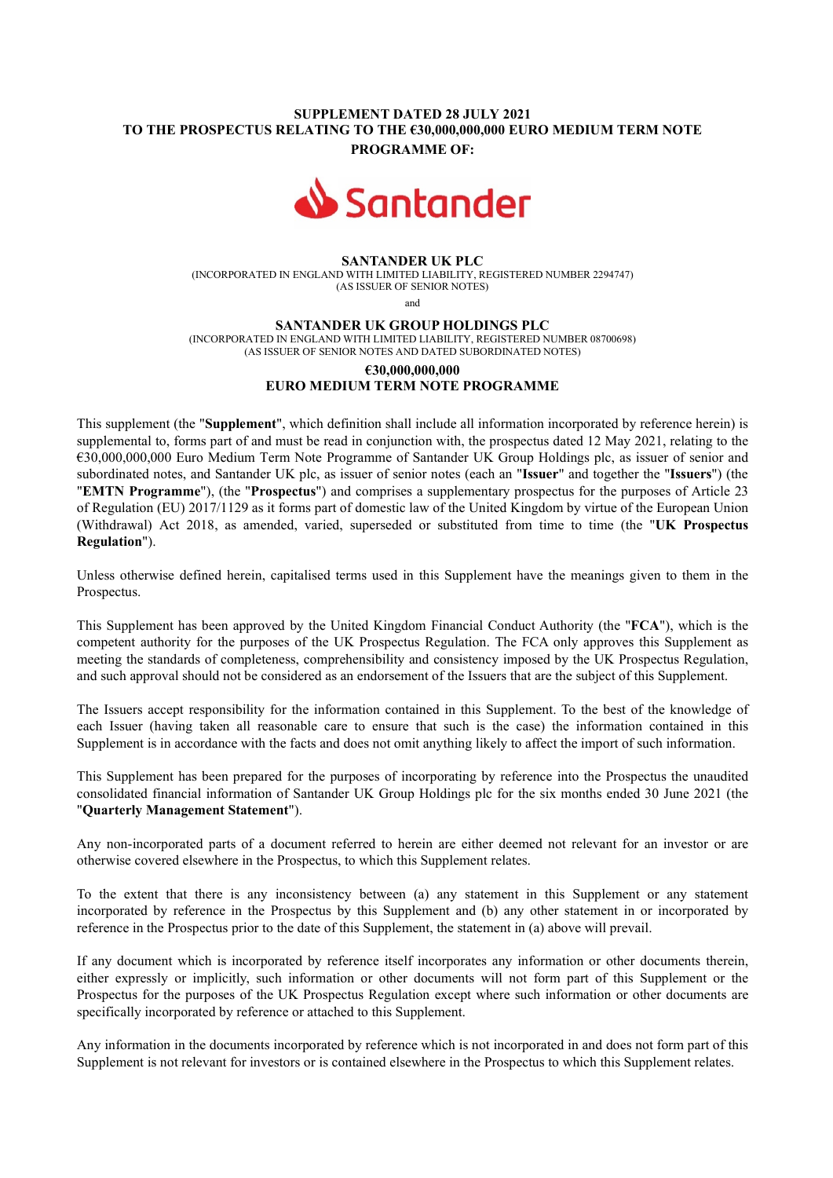## SUPPLEMENT DATED 28 JULY 2021 TO THE PROSPECTUS RELATING TO THE €30,000,000,000 EURO MEDIUM TERM NOTE PROGRAMME OF:



### SANTANDER UK PLC

(INCORPORATED IN ENGLAND WITH LIMITED LIABILITY, REGISTERED NUMBER 2294747) (AS ISSUER OF SENIOR NOTES)

and

#### SANTANDER UK GROUP HOLDINGS PLC

(INCORPORATED IN ENGLAND WITH LIMITED LIABILITY, REGISTERED NUMBER 08700698) (AS ISSUER OF SENIOR NOTES AND DATED SUBORDINATED NOTES)

# €30,000,000,000 EURO MEDIUM TERM NOTE PROGRAMME

This supplement (the "Supplement", which definition shall include all information incorporated by reference herein) is supplemental to, forms part of and must be read in conjunction with, the prospectus dated 12 May 2021, relating to the €30,000,000,000 Euro Medium Term Note Programme of Santander UK Group Holdings plc, as issuer of senior and subordinated notes, and Santander UK plc, as issuer of senior notes (each an "Issuer" and together the "Issuers") (the "EMTN Programme"), (the "Prospectus") and comprises a supplementary prospectus for the purposes of Article 23 of Regulation (EU) 2017/1129 as it forms part of domestic law of the United Kingdom by virtue of the European Union (Withdrawal) Act 2018, as amended, varied, superseded or substituted from time to time (the "UK Prospectus Regulation").

Unless otherwise defined herein, capitalised terms used in this Supplement have the meanings given to them in the Prospectus.

This Supplement has been approved by the United Kingdom Financial Conduct Authority (the "FCA"), which is the competent authority for the purposes of the UK Prospectus Regulation. The FCA only approves this Supplement as meeting the standards of completeness, comprehensibility and consistency imposed by the UK Prospectus Regulation, and such approval should not be considered as an endorsement of the Issuers that are the subject of this Supplement.

The Issuers accept responsibility for the information contained in this Supplement. To the best of the knowledge of each Issuer (having taken all reasonable care to ensure that such is the case) the information contained in this Supplement is in accordance with the facts and does not omit anything likely to affect the import of such information.

This Supplement has been prepared for the purposes of incorporating by reference into the Prospectus the unaudited consolidated financial information of Santander UK Group Holdings plc for the six months ended 30 June 2021 (the "Quarterly Management Statement").

Any non-incorporated parts of a document referred to herein are either deemed not relevant for an investor or are otherwise covered elsewhere in the Prospectus, to which this Supplement relates.

To the extent that there is any inconsistency between (a) any statement in this Supplement or any statement incorporated by reference in the Prospectus by this Supplement and (b) any other statement in or incorporated by reference in the Prospectus prior to the date of this Supplement, the statement in (a) above will prevail.

If any document which is incorporated by reference itself incorporates any information or other documents therein, either expressly or implicitly, such information or other documents will not form part of this Supplement or the Prospectus for the purposes of the UK Prospectus Regulation except where such information or other documents are specifically incorporated by reference or attached to this Supplement.

Any information in the documents incorporated by reference which is not incorporated in and does not form part of this Supplement is not relevant for investors or is contained elsewhere in the Prospectus to which this Supplement relates.